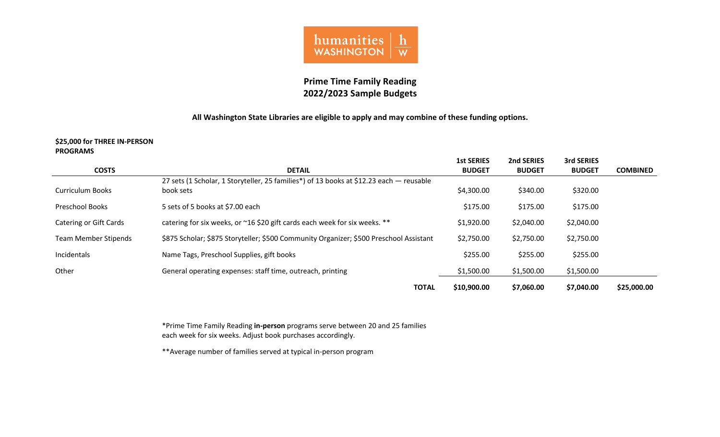

# **Prime Time Family Reading 2022/2023 Sample Budgets**

## **All Washington State Libraries are eligible to apply and may combine of these funding options.**

#### **\$25,000 for THREE IN-PERSON PROGRAMS**

|                               |                                                                                                      | <b>1st SERIES</b> | 2nd SERIES    | 3rd SERIES    |                 |
|-------------------------------|------------------------------------------------------------------------------------------------------|-------------------|---------------|---------------|-----------------|
| <b>COSTS</b>                  | <b>DETAIL</b>                                                                                        | <b>BUDGET</b>     | <b>BUDGET</b> | <b>BUDGET</b> | <b>COMBINED</b> |
| <b>Curriculum Books</b>       | 27 sets (1 Scholar, 1 Storyteller, 25 families*) of 13 books at \$12.23 each — reusable<br>book sets | \$4,300.00        | \$340.00      | \$320.00      |                 |
|                               |                                                                                                      |                   |               |               |                 |
| <b>Preschool Books</b>        | 5 sets of 5 books at \$7.00 each                                                                     | \$175.00          | \$175.00      | \$175.00      |                 |
| <b>Catering or Gift Cards</b> | catering for six weeks, or ~16 \$20 gift cards each week for six weeks. **                           | \$1,920.00        | \$2,040.00    | \$2,040.00    |                 |
| <b>Team Member Stipends</b>   | \$875 Scholar; \$875 Storyteller; \$500 Community Organizer; \$500 Preschool Assistant               | \$2,750.00        | \$2,750.00    | \$2,750.00    |                 |
| Incidentals                   | Name Tags, Preschool Supplies, gift books                                                            | \$255.00          | \$255.00      | \$255.00      |                 |
| Other                         | General operating expenses: staff time, outreach, printing                                           | \$1,500.00        | \$1,500.00    | \$1,500.00    |                 |
|                               | <b>TOTAL</b>                                                                                         | \$10,900.00       | \$7,060.00    | \$7,040.00    | \$25,000.00     |

\*Prime Time Family Reading **in-person** programs serve between 20 and 25 families each week for six weeks. Adjust book purchases accordingly.

\*\*Average number of families served at typical in-person program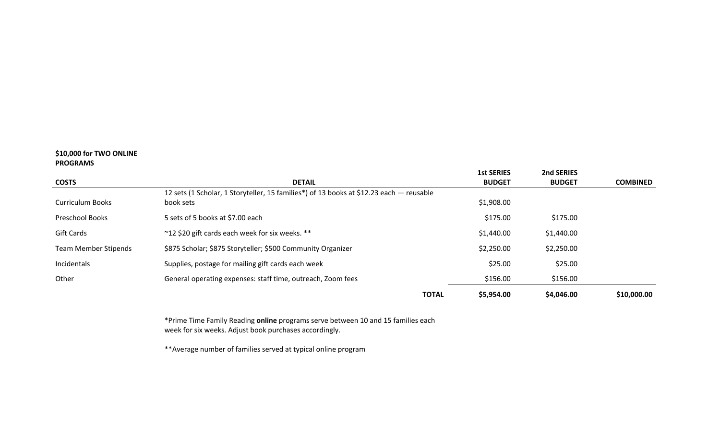### **\$10,000 for TWO ONLINE PROGRAMS**

|                             |                                                                                         | <b>1st SERIES</b> | 2nd SERIES    |                 |
|-----------------------------|-----------------------------------------------------------------------------------------|-------------------|---------------|-----------------|
| <b>COSTS</b>                | <b>DETAIL</b>                                                                           | <b>BUDGET</b>     | <b>BUDGET</b> | <b>COMBINED</b> |
|                             | 12 sets (1 Scholar, 1 Storyteller, 15 families*) of 13 books at \$12.23 each - reusable |                   |               |                 |
| <b>Curriculum Books</b>     | book sets                                                                               | \$1,908.00        |               |                 |
| <b>Preschool Books</b>      | 5 sets of 5 books at \$7.00 each                                                        | \$175.00          | \$175.00      |                 |
| Gift Cards                  | ~12 \$20 gift cards each week for six weeks. **                                         | \$1,440.00        | \$1,440.00    |                 |
| <b>Team Member Stipends</b> | \$875 Scholar; \$875 Storyteller; \$500 Community Organizer                             | \$2,250.00        | \$2,250.00    |                 |
| Incidentals                 | Supplies, postage for mailing gift cards each week                                      | \$25.00           | \$25.00       |                 |
| Other                       | General operating expenses: staff time, outreach, Zoom fees                             | \$156.00          | \$156.00      |                 |
|                             | <b>TOTAL</b>                                                                            | \$5,954.00        | \$4,046.00    | \$10,000.00     |

\*Prime Time Family Reading **online** programs serve between 10 and 15 families each week for six weeks. Adjust book purchases accordingly.

\*\*Average number of families served at typical online program